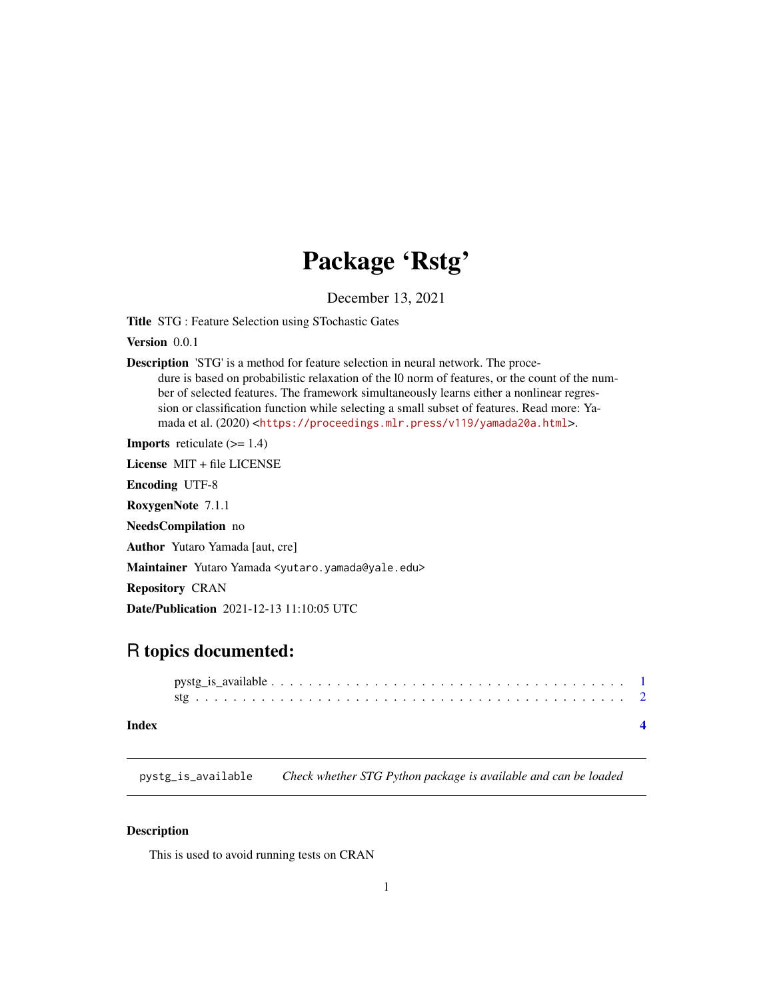## Package 'Rstg'

December 13, 2021

<span id="page-0-0"></span>Title STG : Feature Selection using STochastic Gates

Version 0.0.1

Description 'STG' is a method for feature selection in neural network. The procedure is based on probabilistic relaxation of the 10 norm of features, or the count of the number of selected features. The framework simultaneously learns either a nonlinear regression or classification function while selecting a small subset of features. Read more: Yamada et al. (2020) <<https://proceedings.mlr.press/v119/yamada20a.html>>.

**Imports** reticulate  $(>= 1.4)$ 

License MIT + file LICENSE

Encoding UTF-8

RoxygenNote 7.1.1

NeedsCompilation no

Author Yutaro Yamada [aut, cre]

Maintainer Yutaro Yamada <yutaro.yamada@yale.edu>

Repository CRAN

Date/Publication 2021-12-13 11:10:05 UTC

### R topics documented:

| Index |  |
|-------|--|

pystg\_is\_available *Check whether STG Python package is available and can be loaded*

#### Description

This is used to avoid running tests on CRAN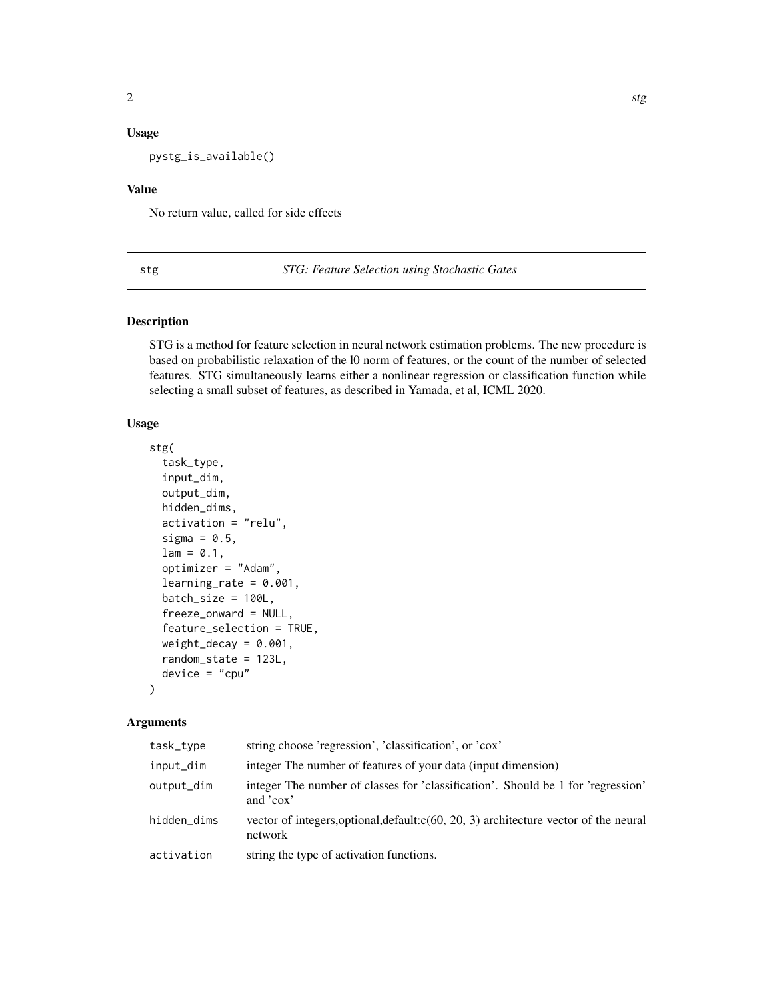#### <span id="page-1-0"></span>Usage

pystg\_is\_available()

#### Value

No return value, called for side effects

stg *STG: Feature Selection using Stochastic Gates*

#### Description

STG is a method for feature selection in neural network estimation problems. The new procedure is based on probabilistic relaxation of the l0 norm of features, or the count of the number of selected features. STG simultaneously learns either a nonlinear regression or classification function while selecting a small subset of features, as described in Yamada, et al, ICML 2020.

#### Usage

```
stg(
  task_type,
  input_dim,
  output_dim,
  hidden_dims,
  activation = "relu",
  sigma = 0.5,
  lam = 0.1,optimizer = "Adam",
  learning_rate = 0.001,batch_size = 100L,
  freeze_onward = NULL,
  feature_selection = TRUE,
  weight\_decay = 0.001,
  random_state = 123L,
  device = "cpu")
```
#### Arguments

| task_type   | string choose 'regression', 'classification', or 'cox'                                             |
|-------------|----------------------------------------------------------------------------------------------------|
| input_dim   | integer The number of features of your data (input dimension)                                      |
| output_dim  | integer The number of classes for 'classification'. Should be 1 for 'regression'<br>and 'cox'      |
| hidden_dims | vector of integers, optional, default: $c(60, 20, 3)$ architecture vector of the neural<br>network |
| activation  | string the type of activation functions.                                                           |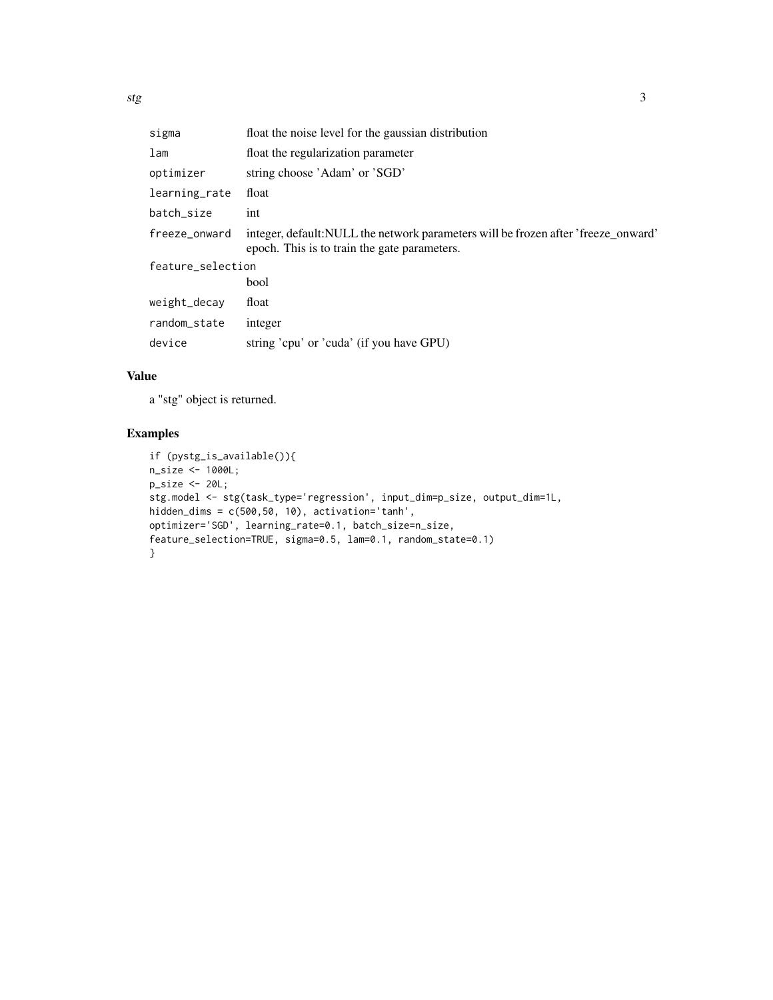| sigma             | float the noise level for the gaussian distribution                                                                                |  |  |  |
|-------------------|------------------------------------------------------------------------------------------------------------------------------------|--|--|--|
| lam               | float the regularization parameter                                                                                                 |  |  |  |
| optimizer         | string choose 'Adam' or 'SGD'                                                                                                      |  |  |  |
| learning_rate     | float                                                                                                                              |  |  |  |
| batch_size        | int                                                                                                                                |  |  |  |
| freeze_onward     | integer, default: NULL the network parameters will be frozen after 'freeze_onward'<br>epoch. This is to train the gate parameters. |  |  |  |
| feature_selection |                                                                                                                                    |  |  |  |
|                   | bool                                                                                                                               |  |  |  |
| weight_decay      | float                                                                                                                              |  |  |  |
| random_state      | integer                                                                                                                            |  |  |  |
| device            | string 'cpu' or 'cuda' (if you have GPU)                                                                                           |  |  |  |

#### Value

a "stg" object is returned.

#### Examples

```
if (pystg_is_available()){
n_size <- 1000L;
p_size <- 20L;
stg.model <- stg(task_type='regression', input_dim=p_size, output_dim=1L,
hidden_dims = c(500,50, 10), activation='tanh',
optimizer='SGD', learning_rate=0.1, batch_size=n_size,
feature_selection=TRUE, sigma=0.5, lam=0.1, random_state=0.1)
}
```